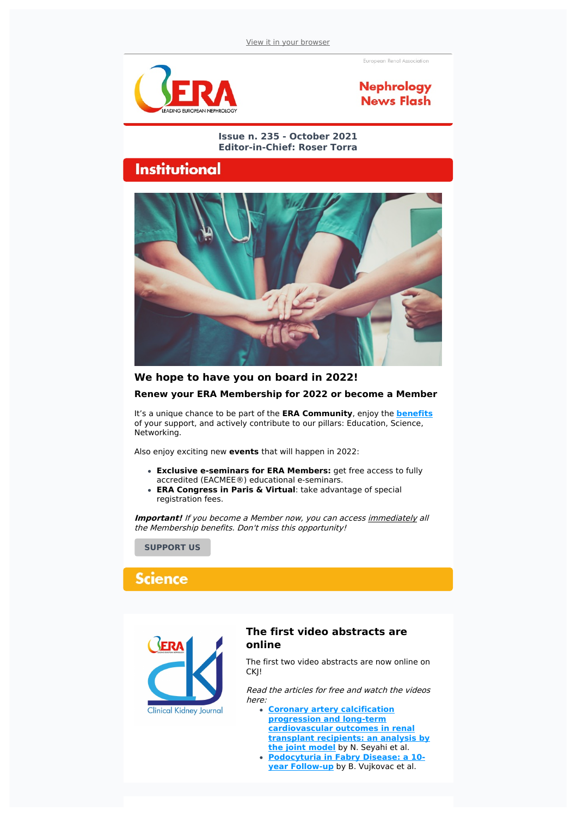.<br>European Renal Association



### **Nephrology News Flash**

#### **Issue n. 235 - October 2021 Editor-in-Chief: Roser Torra**

### **Institutional**



# **We hope to have you on board in 2022! Renew your ERA Membership for 2022 or become a Member**

It's a unique chance to be part of the **ERA Community**, enjoy the **[benefits](https://www.era-online.org/en/about-era/become-a-member/benefits/)** of your support, and actively contribute to our pillars: Education, Science, Networking.

Also enjoy exciting new **events** that will happen in 2022:

- **Exclusive e-seminars for ERA Members:** get free access to fully accredited (EACMEE®) educational e-seminars.
- **ERA Congress in Paris & Virtual**: take advantage of special registration fees.

**Important!** If you become a Member now, you can access *immediately* all the Membership benefits. Don't miss this opportunity!

**[SUPPORT](https://www.era-edta.org/en/my-era/#login) US**

## **Science**



#### **The first video abstracts are online**

The first two video abstracts are now online on CKJ!

Read the articles for free and watch the videos here:

- **Coronary artery calcification progression and long-term [cardiovascular](https://academic.oup.com/ckj/advance-article/doi/10.1093/ckj/sfab174/6374499) outcomes in renal transplant recipients: an analysis by the joint model** by N. Seyahi et al.
- **[Podocyturia](https://academic.oup.com/ckj/advance-article/doi/10.1093/ckj/sfab172/6371194) in Fabry Disease: a 10 year Follow-up** by B. Vujkovac et al.